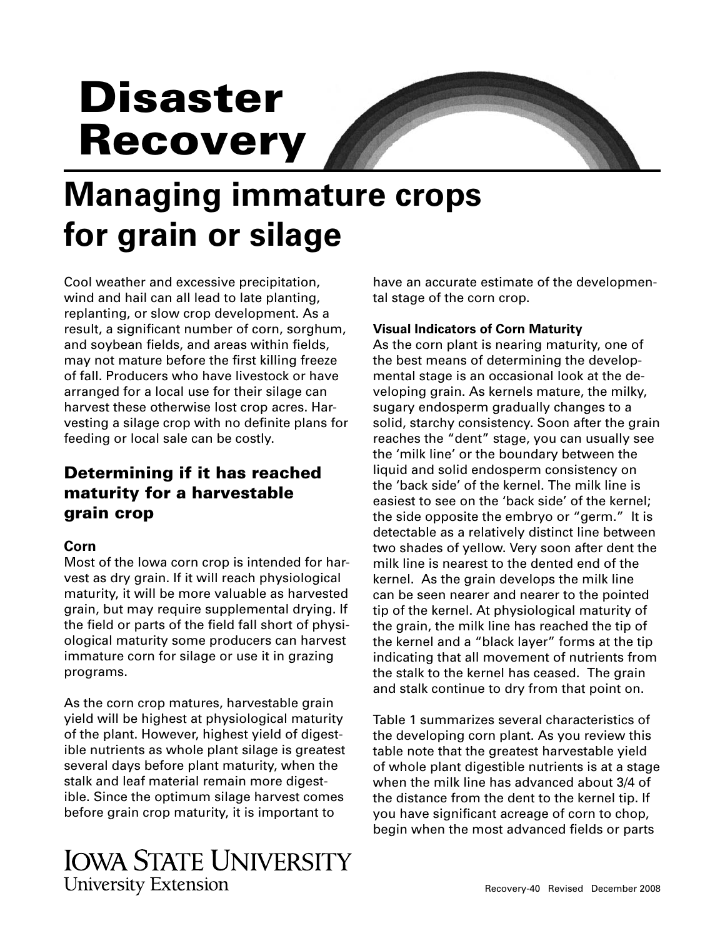# **Disaster Recovery**



## **Managing immature crops for grain or silage**

Cool weather and excessive precipitation, wind and hail can all lead to late planting, replanting, or slow crop development. As a result, a significant number of corn, sorghum, and soybean fields, and areas within fields, may not mature before the first killing freeze of fall. Producers who have livestock or have arranged for a local use for their silage can harvest these otherwise lost crop acres. Harvesting a silage crop with no definite plans for feeding or local sale can be costly.

## **Determining if it has reached maturity for a harvestable grain crop**

### **Corn**

Most of the Iowa corn crop is intended for harvest as dry grain. If it will reach physiological maturity, it will be more valuable as harvested grain, but may require supplemental drying. If the field or parts of the field fall short of physiological maturity some producers can harvest immature corn for silage or use it in grazing programs.

As the corn crop matures, harvestable grain yield will be highest at physiological maturity of the plant. However, highest yield of digestible nutrients as whole plant silage is greatest several days before plant maturity, when the stalk and leaf material remain more digestible. Since the optimum silage harvest comes before grain crop maturity, it is important to

have an accurate estimate of the developmental stage of the corn crop.

#### **Visual Indicators of Corn Maturity**

As the corn plant is nearing maturity, one of the best means of determining the developmental stage is an occasional look at the developing grain. As kernels mature, the milky, sugary endosperm gradually changes to a solid, starchy consistency. Soon after the grain reaches the "dent" stage, you can usually see the 'milk line' or the boundary between the liquid and solid endosperm consistency on the 'back side' of the kernel. The milk line is easiest to see on the 'back side' of the kernel; the side opposite the embryo or "germ." It is detectable as a relatively distinct line between two shades of yellow. Very soon after dent the milk line is nearest to the dented end of the kernel. As the grain develops the milk line can be seen nearer and nearer to the pointed tip of the kernel. At physiological maturity of the grain, the milk line has reached the tip of the kernel and a "black layer" forms at the tip indicating that all movement of nutrients from the stalk to the kernel has ceased. The grain and stalk continue to dry from that point on.

Table 1 summarizes several characteristics of the developing corn plant. As you review this table note that the greatest harvestable yield of whole plant digestible nutrients is at a stage when the milk line has advanced about 3/4 of the distance from the dent to the kernel tip. If you have significant acreage of corn to chop, begin when the most advanced fields or parts

## **IOWA STATE UNIVERSITY University Extension**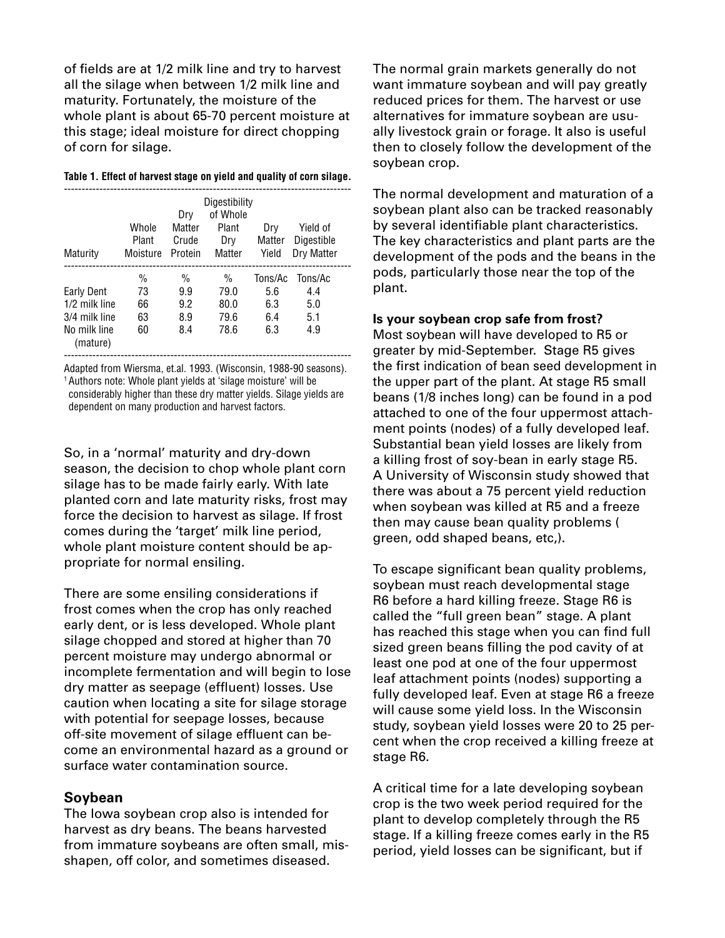of fields are at 1/2 milk line and try to harvest all the silage when between 1/2 milk line and maturity. Fortunately, the moisture of the whole plant is about 65-70 percent moisture at this stage; ideal moisture for direct chopping of corn for silage.

|  |  |  | Table 1. Effect of harvest stage on yield and quality of corn silage. |
|--|--|--|-----------------------------------------------------------------------|
|  |  |  |                                                                       |

| Maturity                                                                 | Whole<br>Plant<br>Moisture            | Drv<br>Matter<br>Crude<br>Protein         | Digestibility<br>of Whole<br>Plant<br>Drv<br>Matter | Drv<br>Matter<br>Yield              | Yield of<br>Digestible<br>Dry Matter |  |
|--------------------------------------------------------------------------|---------------------------------------|-------------------------------------------|-----------------------------------------------------|-------------------------------------|--------------------------------------|--|
| Early Dent<br>1/2 milk line<br>3/4 milk line<br>No milk line<br>(mature) | $\frac{0}{0}$<br>73<br>66<br>63<br>60 | $\frac{0}{0}$<br>9.9<br>9.2<br>8.9<br>8.4 | $\%$<br>79.0<br>80.0<br>79.6<br>78.6                | Tons/Ac<br>5.6<br>6.3<br>6.4<br>6.3 | Tons/Ac<br>4.4<br>5.0<br>5.1<br>4.9  |  |

---------------------------------------------------------------------------------

Adapted from Wiersma, et.al. 1993. (Wisconsin, 1988-90 seasons). 1 Authors note: Whole plant yields at 'silage moisture' will be considerably higher than these dry matter yields. Silage yields are dependent on many production and harvest factors.

So, in a 'normal' maturity and dry-down season, the decision to chop whole plant corn silage has to be made fairly early. With late planted corn and late maturity risks, frost may force the decision to harvest as silage. If frost comes during the 'target' milk line period, whole plant moisture content should be appropriate for normal ensiling.

There are some ensiling considerations if frost comes when the crop has only reached early dent, or is less developed. Whole plant silage chopped and stored at higher than 70 percent moisture may undergo abnormal or incomplete fermentation and will begin to lose dry matter as seepage (effluent) losses. Use caution when locating a site for silage storage with potential for seepage losses, because off-site movement of silage effluent can become an environmental hazard as a ground or surface water contamination source.

#### **Soybean**

The Iowa soybean crop also is intended for harvest as dry beans. The beans harvested from immature soybeans are often small, misshapen, off color, and sometimes diseased.

The normal grain markets generally do not want immature soybean and will pay greatly reduced prices for them. The harvest or use alternatives for immature soybean are usually livestock grain or forage. It also is useful then to closely follow the development of the soybean crop.

The normal development and maturation of a soybean plant also can be tracked reasonably by several identifiable plant characteristics. The key characteristics and plant parts are the development of the pods and the beans in the pods, particularly those near the top of the plant.

#### **Is your soybean crop safe from frost?**

Most soybean will have developed to R5 or greater by mid-September. Stage R5 gives the first indication of bean seed development in the upper part of the plant. At stage R5 small beans (1/8 inches long) can be found in a pod attached to one of the four uppermost attachment points (nodes) of a fully developed leaf. Substantial bean yield losses are likely from a killing frost of soy-bean in early stage R5. A University of Wisconsin study showed that there was about a 75 percent yield reduction when soybean was killed at R5 and a freeze then may cause bean quality problems ( green, odd shaped beans, etc,).

To escape significant bean quality problems, soybean must reach developmental stage R6 before a hard killing freeze. Stage R6 is called the "full green bean" stage. A plant has reached this stage when you can find full sized green beans filling the pod cavity of at least one pod at one of the four uppermost leaf attachment points (nodes) supporting a fully developed leaf. Even at stage R6 a freeze will cause some yield loss. In the Wisconsin study, soybean yield losses were 20 to 25 percent when the crop received a killing freeze at stage R6.

A critical time for a late developing soybean crop is the two week period required for the plant to develop completely through the R5 stage. If a killing freeze comes early in the R5 period, yield losses can be significant, but if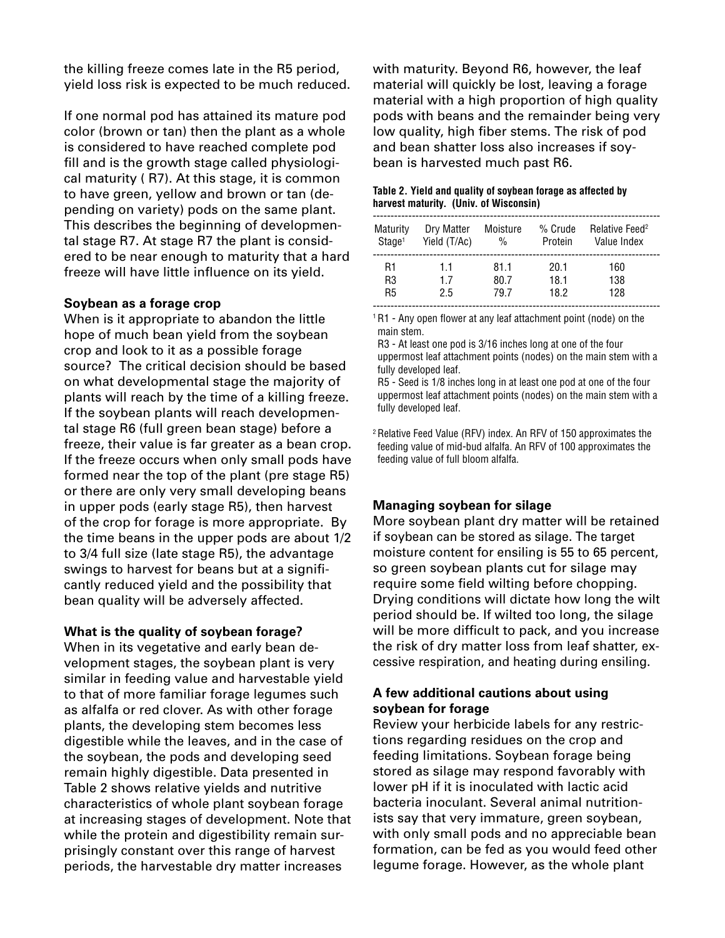the killing freeze comes late in the R5 period, yield loss risk is expected to be much reduced.

If one normal pod has attained its mature pod color (brown or tan) then the plant as a whole is considered to have reached complete pod fill and is the growth stage called physiological maturity ( R7). At this stage, it is common to have green, yellow and brown or tan (depending on variety) pods on the same plant. This describes the beginning of developmental stage R7. At stage R7 the plant is considered to be near enough to maturity that a hard freeze will have little influence on its yield.

#### **Soybean as a forage crop**

When is it appropriate to abandon the little hope of much bean yield from the soybean crop and look to it as a possible forage source? The critical decision should be based on what developmental stage the majority of plants will reach by the time of a killing freeze. If the soybean plants will reach developmental stage R6 (full green bean stage) before a freeze, their value is far greater as a bean crop. If the freeze occurs when only small pods have formed near the top of the plant (pre stage R5) or there are only very small developing beans in upper pods (early stage R5), then harvest of the crop for forage is more appropriate. By the time beans in the upper pods are about 1/2 to 3/4 full size (late stage R5), the advantage swings to harvest for beans but at a significantly reduced yield and the possibility that bean quality will be adversely affected.

#### **What is the quality of soybean forage?**

When in its vegetative and early bean development stages, the soybean plant is very similar in feeding value and harvestable yield to that of more familiar forage legumes such as alfalfa or red clover. As with other forage plants, the developing stem becomes less digestible while the leaves, and in the case of the soybean, the pods and developing seed remain highly digestible. Data presented in Table 2 shows relative yields and nutritive characteristics of whole plant soybean forage at increasing stages of development. Note that while the protein and digestibility remain surprisingly constant over this range of harvest periods, the harvestable dry matter increases

with maturity. Beyond R6, however, the leaf material will quickly be lost, leaving a forage material with a high proportion of high quality pods with beans and the remainder being very low quality, high fiber stems. The risk of pod and bean shatter loss also increases if soybean is harvested much past R6.

#### **Table 2. Yield and quality of soybean forage as affected by harvest maturity. (Univ. of Wisconsin)**

| Maturity           | Dry Matter   | Moisture      | % Crude | Relative Feed <sup>2</sup> |
|--------------------|--------------|---------------|---------|----------------------------|
| Stage <sup>1</sup> | Yield (T/Ac) | $\frac{0}{0}$ | Protein | Value Index                |
| R1                 | 11           | 81.1          | 20.1    | 160                        |
| R3                 | 17           | 80.7          | 18.1    | 138                        |
| R5                 | 2.5          | 79.7          | 18.2    | 128                        |

<sup>1</sup> R1 - Any open flower at any leaf attachment point (node) on the main stem.

 R3 - At least one pod is 3/16 inches long at one of the four uppermost leaf attachment points (nodes) on the main stem with a fully developed leaf.

 R5 - Seed is 1/8 inches long in at least one pod at one of the four uppermost leaf attachment points (nodes) on the main stem with a fully developed leaf.

2 Relative Feed Value (RFV) index. An RFV of 150 approximates the feeding value of mid-bud alfalfa. An RFV of 100 approximates the feeding value of full bloom alfalfa.

#### **Managing soybean for silage**

More soybean plant dry matter will be retained if soybean can be stored as silage. The target moisture content for ensiling is 55 to 65 percent, so green soybean plants cut for silage may require some field wilting before chopping. Drying conditions will dictate how long the wilt period should be. If wilted too long, the silage will be more difficult to pack, and you increase the risk of dry matter loss from leaf shatter, excessive respiration, and heating during ensiling.

#### **A few additional cautions about using soybean for forage**

Review your herbicide labels for any restrictions regarding residues on the crop and feeding limitations. Soybean forage being stored as silage may respond favorably with lower pH if it is inoculated with lactic acid bacteria inoculant. Several animal nutritionists say that very immature, green soybean, with only small pods and no appreciable bean formation, can be fed as you would feed other legume forage. However, as the whole plant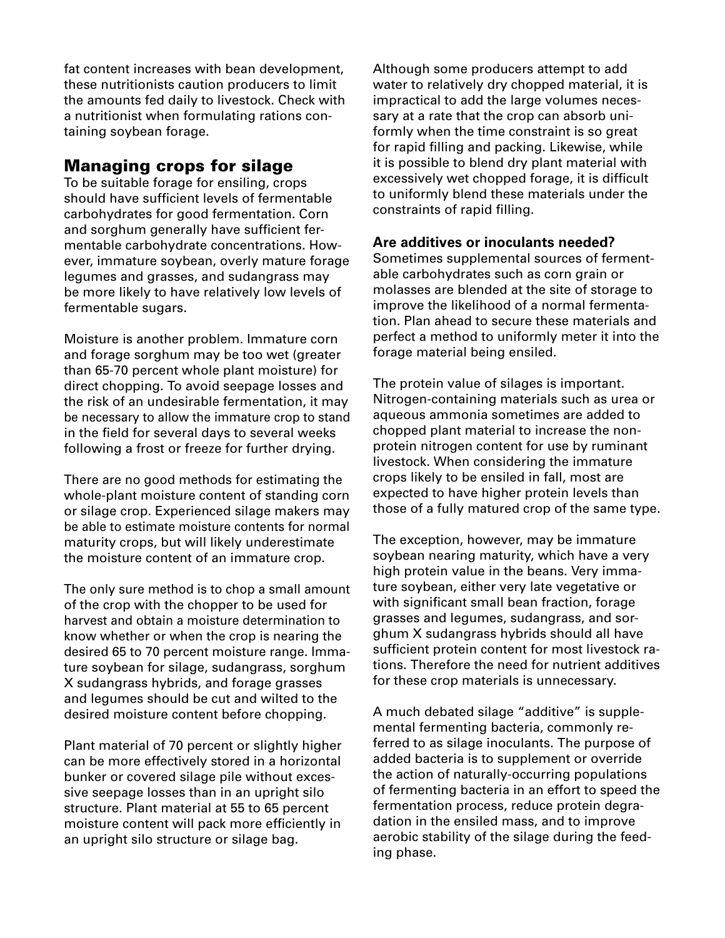fat content increases with bean development, these nutritionists caution producers to limit the amounts fed daily to livestock. Check with a nutritionist when formulating rations containing soybean forage.

## **Managing crops for silage**

To be suitable forage for ensiling, crops should have sufficient levels of fermentable carbohydrates for good fermentation. Corn and sorghum generally have sufficient fermentable carbohydrate concentrations. However, immature soybean, overly mature forage legumes and grasses, and sudangrass may be more likely to have relatively low levels of fermentable sugars.

Moisture is another problem. Immature corn and forage sorghum may be too wet (greater than 65-70 percent whole plant moisture) for direct chopping. To avoid seepage losses and the risk of an undesirable fermentation, it may be necessary to allow the immature crop to stand in the field for several days to several weeks following a frost or freeze for further drying.

There are no good methods for estimating the whole-plant moisture content of standing corn or silage crop. Experienced silage makers may be able to estimate moisture contents for normal maturity crops, but will likely underestimate the moisture content of an immature crop.

The only sure method is to chop a small amount of the crop with the chopper to be used for harvest and obtain a moisture determination to know whether or when the crop is nearing the desired 65 to 70 percent moisture range. Immature soybean for silage, sudangrass, sorghum X sudangrass hybrids, and forage grasses and legumes should be cut and wilted to the desired moisture content before chopping.

Plant material of 70 percent or slightly higher can be more effectively stored in a horizontal bunker or covered silage pile without excessive seepage losses than in an upright silo structure. Plant material at 55 to 65 percent moisture content will pack more efficiently in an upright silo structure or silage bag.

Although some producers attempt to add water to relatively dry chopped material, it is impractical to add the large volumes necessary at a rate that the crop can absorb uniformly when the time constraint is so great for rapid filling and packing. Likewise, while it is possible to blend dry plant material with excessively wet chopped forage, it is difficult to uniformly blend these materials under the constraints of rapid filling.

#### **Are additives or inoculants needed?**

Sometimes supplemental sources of fermentable carbohydrates such as corn grain or molasses are blended at the site of storage to improve the likelihood of a normal fermentation. Plan ahead to secure these materials and perfect a method to uniformly meter it into the forage material being ensiled.

The protein value of silages is important. Nitrogen-containing materials such as urea or aqueous am monia sometimes are added to chopped plant material to increase the nonprotein nitrogen content for use by ruminant livestock. When considering the immature crops likely to be ensiled in fall, most are expected to have higher protein levels than those of a fully matured crop of the same type.

The exception, however, may be immature soy bean nearing maturity, which have a very high protein value in the beans. Very immature soybean, either very late vegetative or with significant small bean fraction, forage grasses and legumes, sudangrass, and sorghum X sudangrass hybrids should all have sufficient protein content for most livestock rations. Therefore the need for nutrient additives for these crop materials is unnecessary.

A much debated silage "additive" is supplemental fermenting bacteria, commonly referred to as silage inoculants. The purpose of added bacteria is to supplement or override the action of naturally-occurring populations of fermenting bacteria in an effort to speed the fermentation process, reduce protein degradation in the ensiled mass, and to improve aerobic stability of the silage during the feeding phase.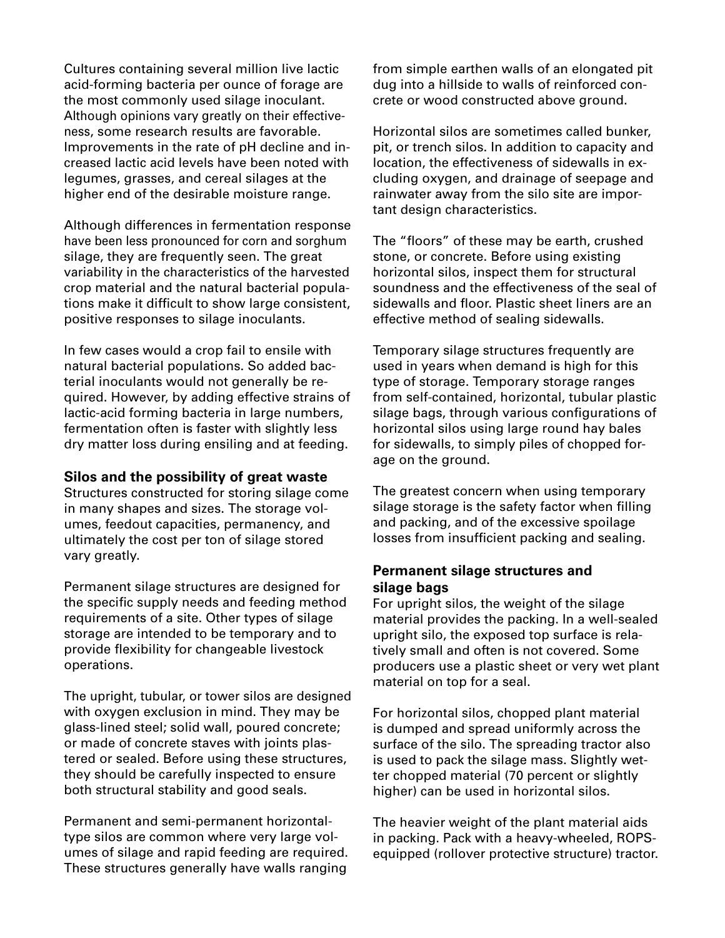Cultures containing several million live lactic acid-forming bacteria per ounce of forage are the most commonly used silage inoculant. Although opinions vary greatly on their effectiveness, some research results are favorable. Improvements in the rate of pH decline and increased lactic acid levels have been noted with legumes, grasses, and cereal silages at the higher end of the desirable moisture range.

Although differences in fermentation response have been less pronounced for corn and sorghum silage, they are frequently seen. The great variability in the characteristics of the harvested crop material and the natural bacterial populations make it difficult to show large consistent, positive responses to silage inoculants.

In few cases would a crop fail to ensile with natural bacterial populations. So added bacterial inoculants would not generally be required. However, by adding effective strains of lactic-acid forming bacteria in large numbers, fermentation often is faster with slightly less dry matter loss during ensiling and at feeding.

#### **Silos and the possibility of great waste**

Structures constructed for storing silage come in many shapes and sizes. The storage volumes, feedout capacities, permanency, and ultimately the cost per ton of silage stored vary greatly.

Permanent silage structures are designed for the specific supply needs and feeding method requirements of a site. Other types of silage storage are intended to be temporary and to provide flexibility for changeable livestock operations.

The upright, tubular, or tower silos are designed with oxygen exclusion in mind. They may be glass-lined steel; solid wall, poured concrete; or made of concrete staves with joints plastered or sealed. Before using these structures, they should be carefully inspected to ensure both structural stability and good seals.

Permanent and semi-permanent horizontaltype silos are common where very large volumes of silage and rapid feeding are required. These structures generally have walls ranging

from simple earthen walls of an elongated pit dug into a hillside to walls of reinforced concrete or wood constructed above ground.

Horizontal silos are sometimes called bunker, pit, or trench silos. In addition to capacity and location, the effectiveness of sidewalls in excluding oxygen, and drainage of seepage and rainwater away from the silo site are important design characteristics.

The "floors" of these may be earth, crushed stone, or concrete. Before using existing horizontal silos, inspect them for structural soundness and the effectiveness of the seal of sidewalls and floor. Plastic sheet liners are an effective method of sealing sidewalls.

Temporary silage structures frequently are used in years when demand is high for this type of storage. Temporary storage ranges from self-contained, horizontal, tubular plastic silage bags, through various configurations of horizontal silos using large round hay bales for sidewalls, to simply piles of chopped forage on the ground.

The greatest concern when using temporary silage storage is the safety factor when filling and packing, and of the excessive spoilage losses from insufficient packing and sealing.

#### **Permanent silage structures and silage bags**

For upright silos, the weight of the silage material provides the packing. In a well-sealed upright silo, the exposed top surface is relatively small and often is not covered. Some producers use a plastic sheet or very wet plant material on top for a seal.

For horizontal silos, chopped plant material is dumped and spread uniformly across the surface of the silo. The spreading tractor also is used to pack the silage mass. Slightly wetter chopped material (70 percent or slightly higher) can be used in horizontal silos.

The heavier weight of the plant material aids in packing. Pack with a heavy-wheeled, ROPSequipped (rollover protective structure) tractor.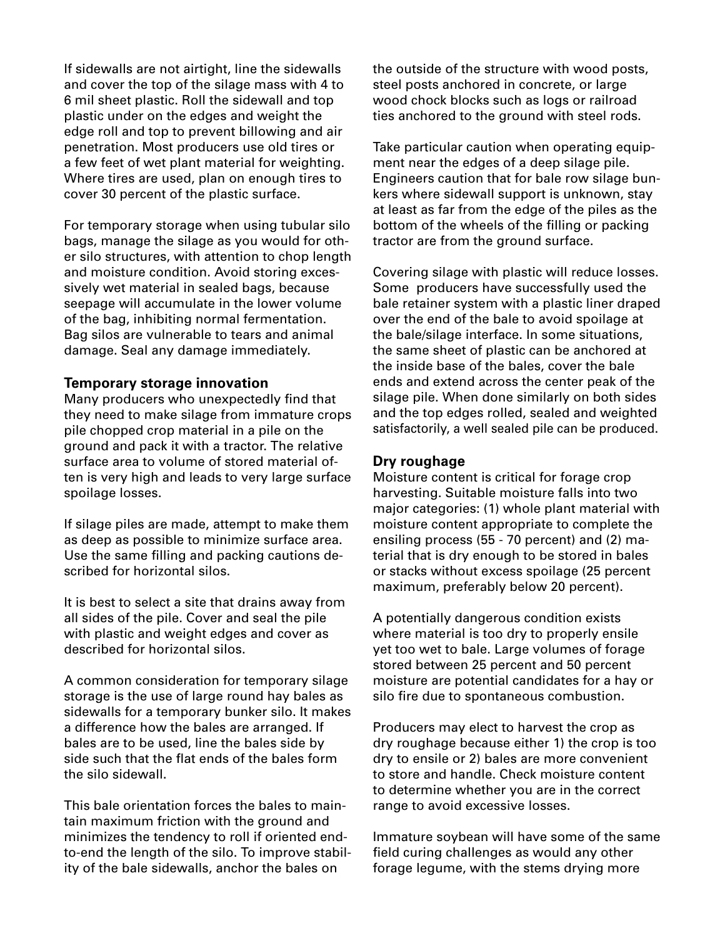If sidewalls are not airtight, line the sidewalls and cover the top of the silage mass with 4 to 6 mil sheet plastic. Roll the sidewall and top plastic under on the edges and weight the edge roll and top to prevent billowing and air penetration. Most producers use old tires or a few feet of wet plant material for weighting. Where tires are used, plan on enough tires to cover 30 percent of the plastic surface.

For temporary storage when using tubular silo bags, manage the silage as you would for other silo structures, with attention to chop length and moisture condition. Avoid storing excessively wet material in sealed bags, because seepage will accumulate in the lower volume of the bag, inhibiting normal fermentation. Bag silos are vulnerable to tears and animal damage. Seal any damage immediately.

#### **Temporary storage innovation**

Many producers who unexpectedly find that they need to make silage from immature crops pile chopped crop material in a pile on the ground and pack it with a tractor. The relative surface area to volume of stored material often is very high and leads to very large surface spoilage losses.

If silage piles are made, attempt to make them as deep as possible to minimize surface area. Use the same filling and packing cautions described for horizontal silos.

It is best to select a site that drains away from all sides of the pile. Cover and seal the pile with plastic and weight edges and cover as described for horizontal silos.

A common consideration for temporary silage storage is the use of large round hay bales as sidewalls for a temporary bunker silo. It makes a difference how the bales are arranged. If bales are to be used, line the bales side by side such that the flat ends of the bales form the silo sidewall.

This bale orientation forces the bales to maintain maximum friction with the ground and minimizes the tendency to roll if oriented endto-end the length of the silo. To improve stability of the bale sidewalls, anchor the bales on

the outside of the structure with wood posts, steel posts anchored in concrete, or large wood chock blocks such as logs or railroad ties anchored to the ground with steel rods.

Take particular caution when operating equipment near the edges of a deep silage pile. Engineers caution that for bale row silage bunkers where sidewall support is unknown, stay at least as far from the edge of the piles as the bottom of the wheels of the filling or packing tractor are from the ground surface.

Covering silage with plastic will reduce losses. Some producers have successfully used the bale retainer system with a plastic liner draped over the end of the bale to avoid spoilage at the bale/silage interface. In some situations, the same sheet of plastic can be anchored at the inside base of the bales, cover the bale ends and extend across the center peak of the silage pile. When done similarly on both sides and the top edges rolled, sealed and weighted satisfactorily, a well sealed pile can be produced.

#### **Dry roughage**

Moisture content is critical for forage crop harvesting. Suitable moisture falls into two major categories: (1) whole plant material with moisture content appropriate to complete the ensiling process (55 - 70 percent) and (2) material that is dry enough to be stored in bales or stacks without excess spoilage (25 percent maximum, preferably below 20 percent).

A potentially dangerous condition exists where material is too dry to properly ensile yet too wet to bale. Large volumes of forage stored between 25 percent and 50 percent moisture are potential candidates for a hay or silo fire due to spontaneous combustion.

Producers may elect to harvest the crop as dry roughage because either 1) the crop is too dry to ensile or 2) bales are more convenient to store and handle. Check moisture content to determine whether you are in the correct range to avoid excessive losses.

Immature soybean will have some of the same field curing challenges as would any other forage legume, with the stems drying more